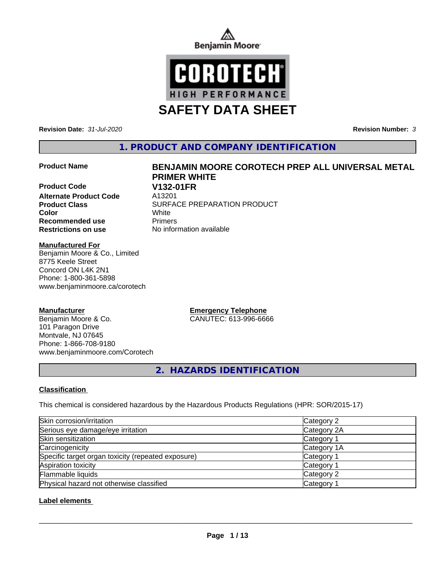



**Revision Date:** *31-Jul-2020* **Revision Number:** *3*

**1. PRODUCT AND COMPANY IDENTIFICATION**

#### **Product Name BENJAMIN MOORE COROTECH PREP ALL UNIVERSAL METAL**

**Product Code V132-01FR Alternate Product Code Recommended use** Primers **Restrictions on use** No information available

# **PRIMER WHITE Product Class SURFACE PREPARATION PRODUCT Color** White

#### **Manufactured For**

Benjamin Moore & Co., Limited 8775 Keele Street Concord ON L4K 2N1 Phone: 1-800-361-5898 www.benjaminmoore.ca/corotech

#### **Manufacturer**

Benjamin Moore & Co. 101 Paragon Drive Montvale, NJ 07645 Phone: 1-866-708-9180 www.benjaminmoore.com/Corotech

#### **Emergency Telephone** CANUTEC: 613-996-6666

**2. HAZARDS IDENTIFICATION**

#### **Classification**

This chemical is considered hazardous by the Hazardous Products Regulations (HPR: SOR/2015-17)

| Skin corrosion/irritation                          | Category 2  |
|----------------------------------------------------|-------------|
| Serious eye damage/eye irritation                  | Category 2A |
| Skin sensitization                                 | Category 1  |
| Carcinogenicity                                    | Category 1A |
| Specific target organ toxicity (repeated exposure) | Category 1  |
| Aspiration toxicity                                | Category 1  |
| Flammable liquids                                  | Category 2  |
| Physical hazard not otherwise classified           | Category 1  |

### **Label elements**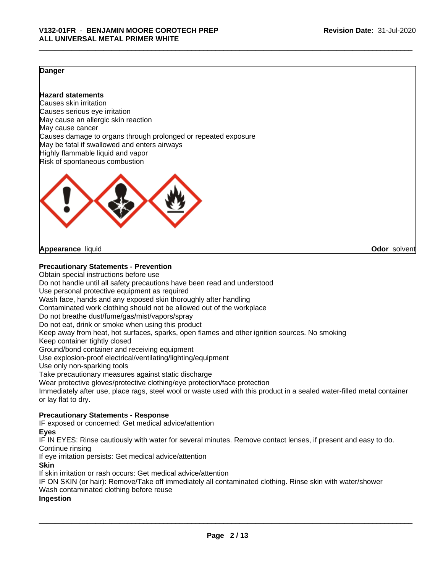#### **Danger**

# **Hazard statements**

Causes skin irritation Causes serious eye irritation May cause an allergic skin reaction May cause cancer Causes damage to organs through prolonged or repeated exposure May be fatal if swallowed and enters airways Highly flammable liquid and vapor Risk of spontaneous combustion



#### **Appearance** liquid **Odor** solvent

### **Precautionary Statements - Prevention**

Obtain special instructions before use

Do not handle until all safety precautions have been read and understood

Use personal protective equipment as required

Wash face, hands and any exposed skin thoroughly after handling

Contaminated work clothing should not be allowed out of the workplace

Do not breathe dust/fume/gas/mist/vapors/spray

Do not eat, drink or smoke when using this product

Keep away from heat, hot surfaces, sparks, open flames and other ignition sources. No smoking

Keep container tightly closed

Ground/bond container and receiving equipment

Use explosion-proof electrical/ventilating/lighting/equipment

Use only non-sparking tools

Take precautionary measures against static discharge

Wear protective gloves/protective clothing/eye protection/face protection

Immediately after use, place rags, steel wool or waste used with this product in a sealed water-filled metal container or lay flat to dry.

#### **Precautionary Statements - Response**

IF exposed or concerned: Get medical advice/attention

**Eyes**

IF IN EYES: Rinse cautiously with water for several minutes. Remove contact lenses, if present and easy to do. Continue rinsing

If eye irritation persists: Get medical advice/attention

**Skin**

If skin irritation or rash occurs: Get medical advice/attention

IF ON SKIN (or hair): Remove/Take off immediately all contaminated clothing. Rinse skin with water/shower Wash contaminated clothing before reuse

#### **Ingestion**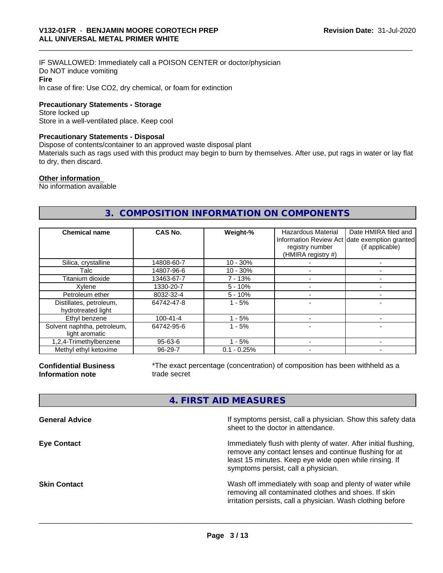IF SWALLOWED: Immediately call a POISON CENTER or doctor/physician Do NOT induce vomiting **Fire** In case of fire: Use CO2, dry chemical, or foam for extinction

**Precautionary Statements - Storage**

Store locked up Store in a well-ventilated place. Keep cool

#### **Precautionary Statements - Disposal**

Dispose of contents/container to an approved waste disposal plant

Materials such as rags used with this product may begin to burn by themselves. After use, put rags in water or lay flat to dry, then discard.

#### **Other information**

No information available

# **3. COMPOSITION INFORMATION ON COMPONENTS**

| <b>Chemical name</b>                          | CAS No.        | Weight-%      | <b>Hazardous Material</b><br>registry number<br>(HMIRA registry #) | Date HMIRA filed and<br>Information Review Act date exemption granted<br>(if applicable) |
|-----------------------------------------------|----------------|---------------|--------------------------------------------------------------------|------------------------------------------------------------------------------------------|
| Silica, crystalline                           | 14808-60-7     | $10 - 30%$    |                                                                    |                                                                                          |
| Talc                                          | 14807-96-6     | $10 - 30%$    |                                                                    |                                                                                          |
| Titanium dioxide                              | 13463-67-7     | 7 - 13%       |                                                                    |                                                                                          |
| Xylene                                        | 1330-20-7      | $5 - 10%$     |                                                                    |                                                                                          |
| Petroleum ether                               | 8032-32-4      | $5 - 10%$     |                                                                    |                                                                                          |
| Distillates, petroleum,<br>hydrotreated light | 64742-47-8     | $1 - 5%$      |                                                                    |                                                                                          |
| Ethyl benzene                                 | $100 - 41 - 4$ | - 5%          |                                                                    |                                                                                          |
| Solvent naphtha, petroleum,<br>light aromatic | 64742-95-6     | $1 - 5%$      |                                                                    |                                                                                          |
| 1,2,4-Trimethylbenzene                        | 95-63-6        | - 5%          |                                                                    |                                                                                          |
| Methyl ethyl ketoxime                         | 96-29-7        | $0.1 - 0.25%$ |                                                                    |                                                                                          |

**Confidential Business Information note**

\*The exact percentage (concentration) of composition has been withheld as a trade secret

# **4. FIRST AID MEASURES**

| <b>General Advice</b> | If symptoms persist, call a physician. Show this safety data<br>sheet to the doctor in attendance.                                                                                                                         |
|-----------------------|----------------------------------------------------------------------------------------------------------------------------------------------------------------------------------------------------------------------------|
| <b>Eye Contact</b>    | Immediately flush with plenty of water. After initial flushing,<br>remove any contact lenses and continue flushing for at<br>least 15 minutes. Keep eye wide open while rinsing. If<br>symptoms persist, call a physician. |
| Skin Contact          | Wash off immediately with soap and plenty of water while<br>removing all contaminated clothes and shoes. If skin<br>irritation persists, call a physician. Wash clothing before                                            |
|                       |                                                                                                                                                                                                                            |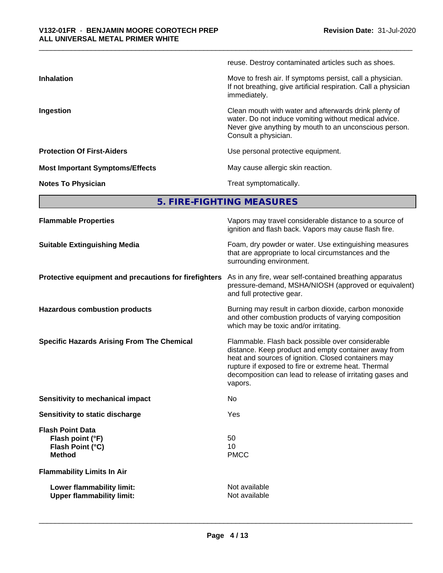|                                        | reuse. Destroy contaminated articles such as shoes.                                                                                                                                              |
|----------------------------------------|--------------------------------------------------------------------------------------------------------------------------------------------------------------------------------------------------|
| <b>Inhalation</b>                      | Move to fresh air. If symptoms persist, call a physician.<br>If not breathing, give artificial respiration. Call a physician<br>immediately.                                                     |
| Ingestion                              | Clean mouth with water and afterwards drink plenty of<br>water. Do not induce vomiting without medical advice.<br>Never give anything by mouth to an unconscious person.<br>Consult a physician. |
| <b>Protection Of First-Aiders</b>      | Use personal protective equipment.                                                                                                                                                               |
| <b>Most Important Symptoms/Effects</b> | May cause allergic skin reaction.                                                                                                                                                                |
| <b>Notes To Physician</b>              | Treat symptomatically.                                                                                                                                                                           |
|                                        |                                                                                                                                                                                                  |

**5. FIRE-FIGHTING MEASURES**

| <b>Flammable Properties</b>                                                      | Vapors may travel considerable distance to a source of<br>ignition and flash back. Vapors may cause flash fire.                                                                                                                                                                                |
|----------------------------------------------------------------------------------|------------------------------------------------------------------------------------------------------------------------------------------------------------------------------------------------------------------------------------------------------------------------------------------------|
| <b>Suitable Extinguishing Media</b>                                              | Foam, dry powder or water. Use extinguishing measures<br>that are appropriate to local circumstances and the<br>surrounding environment.                                                                                                                                                       |
| Protective equipment and precautions for firefighters                            | As in any fire, wear self-contained breathing apparatus<br>pressure-demand, MSHA/NIOSH (approved or equivalent)<br>and full protective gear.                                                                                                                                                   |
| <b>Hazardous combustion products</b>                                             | Burning may result in carbon dioxide, carbon monoxide<br>and other combustion products of varying composition<br>which may be toxic and/or irritating.                                                                                                                                         |
| <b>Specific Hazards Arising From The Chemical</b>                                | Flammable. Flash back possible over considerable<br>distance. Keep product and empty container away from<br>heat and sources of ignition. Closed containers may<br>rupture if exposed to fire or extreme heat. Thermal<br>decomposition can lead to release of irritating gases and<br>vapors. |
| <b>Sensitivity to mechanical impact</b>                                          | No                                                                                                                                                                                                                                                                                             |
| Sensitivity to static discharge                                                  | <b>Yes</b>                                                                                                                                                                                                                                                                                     |
| <b>Flash Point Data</b><br>Flash point (°F)<br>Flash Point (°C)<br><b>Method</b> | 50<br>10<br><b>PMCC</b>                                                                                                                                                                                                                                                                        |
| <b>Flammability Limits In Air</b>                                                |                                                                                                                                                                                                                                                                                                |
| Lower flammability limit:<br><b>Upper flammability limit:</b>                    | Not available<br>Not available                                                                                                                                                                                                                                                                 |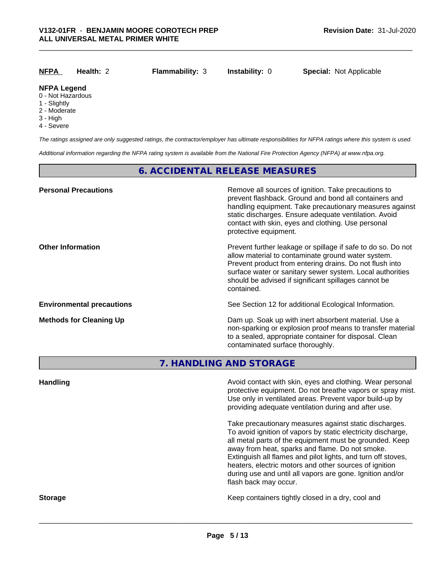| <b>NFPA</b> | Health: 2 | <b>Flammability: 3</b> | <b>Instability: 0</b> | <b>Special: Not Applicable</b> |
|-------------|-----------|------------------------|-----------------------|--------------------------------|
| .           |           |                        |                       |                                |

# **NFPA Legend**

- 0 Not Hazardous
- 1 Slightly
- 2 Moderate
- 3 High
- 4 Severe

*The ratings assigned are only suggested ratings, the contractor/employer has ultimate responsibilities for NFPA ratings where this system is used.*

*Additional information regarding the NFPA rating system is available from the National Fire Protection Agency (NFPA) at www.nfpa.org.*

### **6. ACCIDENTAL RELEASE MEASURES**

| <b>Personal Precautions</b>      | Remove all sources of ignition. Take precautions to<br>prevent flashback. Ground and bond all containers and<br>handling equipment. Take precautionary measures against<br>static discharges. Ensure adequate ventilation. Avoid<br>contact with skin, eyes and clothing. Use personal<br>protective equipment.  |
|----------------------------------|------------------------------------------------------------------------------------------------------------------------------------------------------------------------------------------------------------------------------------------------------------------------------------------------------------------|
| <b>Other Information</b>         | Prevent further leakage or spillage if safe to do so. Do not<br>allow material to contaminate ground water system.<br>Prevent product from entering drains. Do not flush into<br>surface water or sanitary sewer system. Local authorities<br>should be advised if significant spillages cannot be<br>contained. |
| <b>Environmental precautions</b> | See Section 12 for additional Ecological Information.                                                                                                                                                                                                                                                            |
| <b>Methods for Cleaning Up</b>   | Dam up. Soak up with inert absorbent material. Use a<br>non-sparking or explosion proof means to transfer material<br>to a sealed, appropriate container for disposal. Clean<br>contaminated surface thoroughly.                                                                                                 |

**7. HANDLING AND STORAGE**

| <b>Handling</b> | Avoid contact with skin, eyes and clothing. Wear personal<br>protective equipment. Do not breathe vapors or spray mist.<br>Use only in ventilated areas. Prevent vapor build-up by<br>providing adequate ventilation during and after use.                                                                                                                                                                                                           |
|-----------------|------------------------------------------------------------------------------------------------------------------------------------------------------------------------------------------------------------------------------------------------------------------------------------------------------------------------------------------------------------------------------------------------------------------------------------------------------|
|                 | Take precautionary measures against static discharges.<br>To avoid ignition of vapors by static electricity discharge,<br>all metal parts of the equipment must be grounded. Keep<br>away from heat, sparks and flame. Do not smoke.<br>Extinguish all flames and pilot lights, and turn off stoves,<br>heaters, electric motors and other sources of ignition<br>during use and until all vapors are gone. Ignition and/or<br>flash back may occur. |
| <b>Storage</b>  | Keep containers tightly closed in a dry, cool and                                                                                                                                                                                                                                                                                                                                                                                                    |
|                 |                                                                                                                                                                                                                                                                                                                                                                                                                                                      |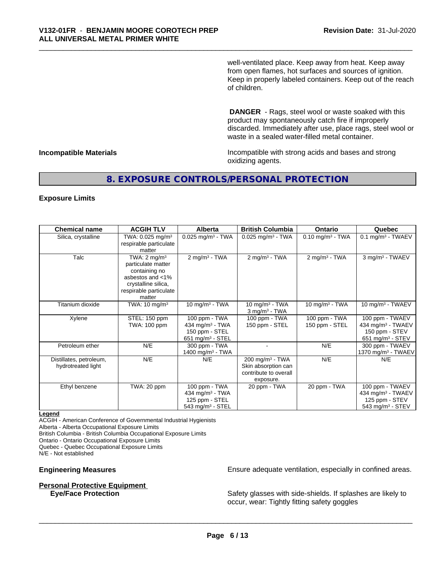well-ventilated place. Keep away from heat. Keep away from open flames, hot surfaces and sources of ignition. Keep in properly labeled containers. Keep out of the reach of children.

 **DANGER** - Rags, steel wool or waste soaked with this product may spontaneously catch fire if improperly discarded. Immediately after use, place rags, steel wool or waste in a sealed water-filled metal container.

**Incompatible Materials Incompatible with strong acids and bases and strong** oxidizing agents.

# **8. EXPOSURE CONTROLS/PERSONAL PROTECTION**

#### **Exposure Limits**

| <b>Chemical name</b>                          | <b>ACGIH TLV</b>                                                                                                                              | Alberta                                                                                        | <b>British Columbia</b>                                                                    | <b>Ontario</b>                  | Quebec                                                                                             |
|-----------------------------------------------|-----------------------------------------------------------------------------------------------------------------------------------------------|------------------------------------------------------------------------------------------------|--------------------------------------------------------------------------------------------|---------------------------------|----------------------------------------------------------------------------------------------------|
| Silica, crystalline                           | TWA: $0.025$ mg/m <sup>3</sup><br>respirable particulate<br>matter                                                                            | $0.025$ mg/m <sup>3</sup> - TWA                                                                | $0.025$ mg/m <sup>3</sup> - TWA                                                            | $0.10$ mg/m <sup>3</sup> - TWA  | $0.1$ mg/m <sup>3</sup> - TWAEV                                                                    |
| Talc                                          | TWA: $2 \text{ mg/m}^3$<br>particulate matter<br>containing no<br>asbestos and <1%<br>crystalline silica,<br>respirable particulate<br>matter | $2 \text{ mg/m}^3$ - TWA                                                                       | $2$ mg/m <sup>3</sup> - TWA                                                                | $2$ mg/m <sup>3</sup> - TWA     | 3 mg/m <sup>3</sup> - TWAEV                                                                        |
| Titanium dioxide                              | TWA: $10 \text{ mg/m}^3$                                                                                                                      | 10 mg/m $3$ - TWA                                                                              | 10 $mq/m3$ - TWA<br>$3$ mg/m <sup>3</sup> - TWA                                            | 10 mg/m $3$ - TWA               | 10 mg/m <sup>3</sup> - TWAEV                                                                       |
| Xylene                                        | STEL: 150 ppm<br>TWA: 100 ppm                                                                                                                 | 100 ppm - TWA<br>434 mg/m $3$ - TWA<br>150 ppm - STEL<br>651 mg/m $3 -$ STEL                   | 100 ppm - TWA<br>150 ppm - STEL                                                            | 100 ppm - TWA<br>150 ppm - STEL | 100 ppm - TWAEV<br>434 mg/m <sup>3</sup> - TWAEV<br>150 ppm - STEV<br>651 mg/m <sup>3</sup> - STEV |
| Petroleum ether                               | N/E                                                                                                                                           | 300 ppm - TWA<br>1400 mg/m <sup>3</sup> - TWA                                                  |                                                                                            | N/E                             | 300 ppm - TWAEV<br>1370 mg/m <sup>3</sup> - TWAEV                                                  |
| Distillates, petroleum,<br>hydrotreated light | N/E                                                                                                                                           | N/E                                                                                            | $200$ mg/m <sup>3</sup> - TWA<br>Skin absorption can<br>contribute to overall<br>exposure. | N/E                             | N/E                                                                                                |
| Ethyl benzene                                 | TWA: 20 ppm                                                                                                                                   | 100 ppm - TWA<br>434 mg/m <sup>3</sup> - TWA<br>125 ppm - STEL<br>543 mg/m <sup>3</sup> - STEL | 20 ppm - TWA                                                                               | 20 ppm - TWA                    | 100 ppm - TWAEV<br>434 mg/m <sup>3</sup> - TWAEV<br>125 ppm - STEV<br>543 mg/m $3 -$ STEV          |

#### **Legend**

ACGIH - American Conference of Governmental Industrial Hygienists

Alberta - Alberta Occupational Exposure Limits

British Columbia - British Columbia Occupational Exposure Limits

Ontario - Ontario Occupational Exposure Limits

Quebec - Quebec Occupational Exposure Limits

N/E - Not established

# **Personal Protective Equipment**<br>**Eye/Face Protection**

**Engineering Measures Ensure** Ensure adequate ventilation, especially in confined areas.

Safety glasses with side-shields. If splashes are likely to occur, wear: Tightly fitting safety goggles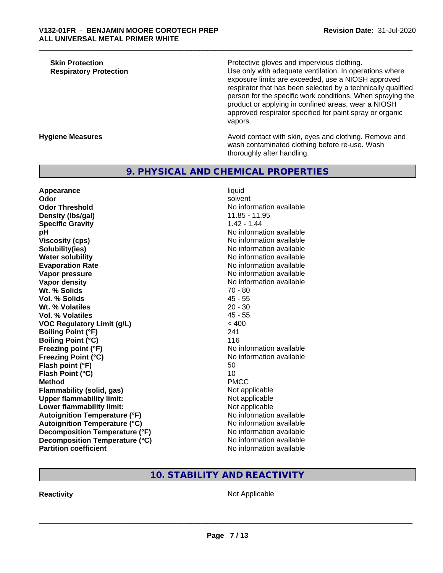| <b>Skin Protection</b>        |  |
|-------------------------------|--|
| <b>Respiratory Protection</b> |  |

Protective gloves and impervious clothing.

Use only with adequate ventilation. In operations where exposure limits are exceeded, use a NIOSH approved respirator that has been selected by a technically qualified person for the specific work conditions. When spraying the product or applying in confined areas, wear a NIOSH approved respirator specified for paint spray or organic vapors.

**Hygiene Measures Avoid contact with skin, eyes and clothing. Remove and Avoid contact with skin, eyes and clothing. Remove and** wash contaminated clothing before re-use. Wash thoroughly after handling.

# **9. PHYSICAL AND CHEMICAL PROPERTIES**

**Appearance** liquid **Odor** solvent **Odor Threshold** No information available **Density (lbs/gal)** 11.85 - 11.95 **Specific Gravity** 1.42 - 1.44 **pH pH**  $\blacksquare$ **Viscosity (cps)** No information available Notice 1, 1999 **Solubility(ies)** No information available in the solution of the solution of the solution available in the solution of the solution of the solution of the solution of the solution of the solution of the solution of the so **Water solubility Water solubility Water solubility Water solubility Water solubility Water solution Evaporation Rate** Note 2008 and 2009 No information available **Vapor pressure** No information available **Vapor density Vapor density No information available Wt. % Solids** 70 - 80<br> **Vol. % Solids** 70 - 80<br> **Vol. % Solids** 45 - 55 **Vol. % Solids Wt. % Volatiles** 20 - 30 **Vol. % Volatiles** 45 - 55 **VOC Regulatory Limit (g/L)** < 400 **Boiling Point (°F)** 241 **Boiling Point (°C)** 116 **Freezing point (°F)** No information available **Freezing Point (°C)** No information available **Flash point (°F)** 50 **Flash Point (°C)** 10 **Method** PMCC **Flammability (solid, gas)** Not applicable **Upper flammability limit:** Not applicable **Lower flammability limit:**<br> **Autoignition Temperature (°F)** Not applicable available and the Mustafable and Mustafable and Mustafable and Mu **Autoignition Temperature (°F)**<br> **Autoignition Temperature (°C)**<br> **Autoignition Temperature (°C)**<br>
Mo information available **Autoignition Temperature (°C) Decomposition Temperature (°F)** No information available **Decomposition Temperature (°C)** No information available<br> **Partition coefficient Partition available** 

**No information available** 

# **10. STABILITY AND REACTIVITY**

**Reactivity** Not Applicable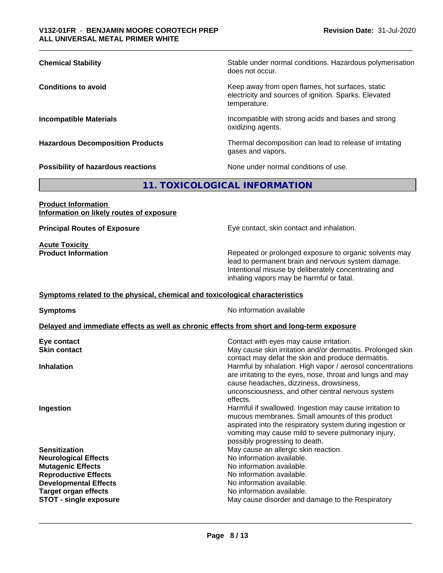| <b>Chemical Stability</b>               | Stable under normal conditions. Hazardous polymerisation<br>does not occur.                                               |
|-----------------------------------------|---------------------------------------------------------------------------------------------------------------------------|
| <b>Conditions to avoid</b>              | Keep away from open flames, hot surfaces, static<br>electricity and sources of ignition. Sparks. Elevated<br>temperature. |
| <b>Incompatible Materials</b>           | Incompatible with strong acids and bases and strong<br>oxidizing agents.                                                  |
| <b>Hazardous Decomposition Products</b> | Thermal decomposition can lead to release of irritating<br>gases and vapors.                                              |
| Possibility of hazardous reactions      | None under normal conditions of use.                                                                                      |

# **11. TOXICOLOGICAL INFORMATION**

#### **Product Information Information on likely routes of exposure**

**Acute Toxicity<br>Product Information** 

**Principal Routes of Exposure Exposure** Eye contact, skin contact and inhalation.

Repeated or prolonged exposure to organic solvents may lead to permanent brain and nervous system damage. Intentional misuse by deliberately concentrating and inhaling vapors may be harmful or fatal.

#### **<u>Symptoms related to the physical, chemical and toxicological characteristics</u>**

**Symptoms** No information available

#### **Delayed and immediate effects as well as chronic effects from short and long-term exposure**

| Contact with eyes may cause irritation.<br>May cause skin irritation and/or dermatitis. Prolonged skin<br>contact may defat the skin and produce dermatitis.                                                                                                     |
|------------------------------------------------------------------------------------------------------------------------------------------------------------------------------------------------------------------------------------------------------------------|
| Harmful by inhalation. High vapor / aerosol concentrations<br>are irritating to the eyes, nose, throat and lungs and may<br>cause headaches, dizziness, drowsiness,<br>unconsciousness, and other central nervous system<br>effects.                             |
| Harmful if swallowed. Ingestion may cause irritation to<br>mucous membranes. Small amounts of this product<br>aspirated into the respiratory system during ingestion or<br>vomiting may cause mild to severe pulmonary injury,<br>possibly progressing to death. |
| May cause an allergic skin reaction.                                                                                                                                                                                                                             |
| No information available.                                                                                                                                                                                                                                        |
| No information available.                                                                                                                                                                                                                                        |
| No information available.                                                                                                                                                                                                                                        |
| No information available.                                                                                                                                                                                                                                        |
| No information available.                                                                                                                                                                                                                                        |
| May cause disorder and damage to the Respiratory                                                                                                                                                                                                                 |
|                                                                                                                                                                                                                                                                  |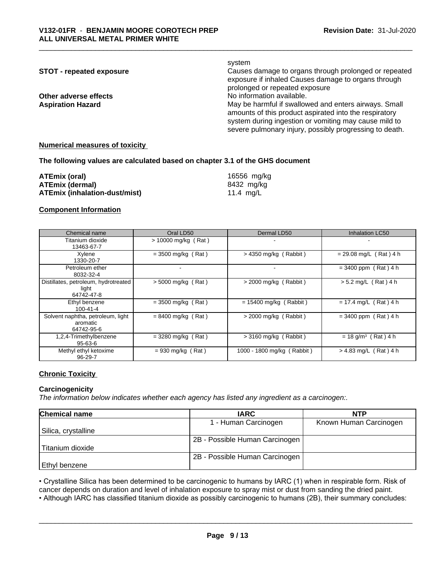|                                 | system                                                  |
|---------------------------------|---------------------------------------------------------|
| <b>STOT - repeated exposure</b> | Causes damage to organs through prolonged or repeated   |
|                                 | exposure if inhaled Causes damage to organs through     |
|                                 | prolonged or repeated exposure                          |
| Other adverse effects           | No information available.                               |
| <b>Aspiration Hazard</b>        | May be harmful if swallowed and enters airways. Small   |
|                                 | amounts of this product aspirated into the respiratory  |
|                                 | system during ingestion or vomiting may cause mild to   |
|                                 | severe pulmonary injury, possibly progressing to death. |
|                                 |                                                         |

#### **Numerical measures of toxicity**

#### **The following values are calculated based on chapter 3.1 of the GHS document**

| ATEmix (oral)                        | 16556 mg/kg |
|--------------------------------------|-------------|
| <b>ATEmix (dermal)</b>               | 8432 mg/ka  |
| <b>ATEmix (inhalation-dust/mist)</b> | 11.4 mg/L   |

#### **Component Information**

| Chemical name                                               | Oral LD50             | Dermal LD50                | <b>Inhalation LC50</b>            |
|-------------------------------------------------------------|-----------------------|----------------------------|-----------------------------------|
| Titanium dioxide<br>13463-67-7                              | $> 10000$ mg/kg (Rat) |                            |                                   |
| Xylene<br>1330-20-7                                         | $=$ 3500 mg/kg (Rat)  | $>$ 4350 mg/kg (Rabbit)    | $= 29.08$ mg/L (Rat) 4 h          |
| Petroleum ether<br>8032-32-4                                |                       |                            | $= 3400$ ppm (Rat) 4 h            |
| Distillates, petroleum, hydrotreated<br>light<br>64742-47-8 | $>$ 5000 mg/kg (Rat)  | $>$ 2000 mg/kg (Rabbit)    | $> 5.2$ mg/L (Rat) 4 h            |
| Ethyl benzene<br>$100 - 41 - 4$                             | $= 3500$ mg/kg (Rat)  | $= 15400$ mg/kg (Rabbit)   | $= 17.4$ mg/L (Rat) 4 h           |
| Solvent naphtha, petroleum, light<br>aromatic<br>64742-95-6 | $= 8400$ mg/kg (Rat)  | $>$ 2000 mg/kg (Rabbit)    | $= 3400$ ppm (Rat) 4 h            |
| 1,2,4-Trimethylbenzene<br>95-63-6                           | $=$ 3280 mg/kg (Rat)  | $>$ 3160 mg/kg (Rabbit)    | $= 18$ g/m <sup>3</sup> (Rat) 4 h |
| Methyl ethyl ketoxime<br>$96 - 29 - 7$                      | $= 930$ mg/kg (Rat)   | 1000 - 1800 mg/kg (Rabbit) | $> 4.83$ mg/L (Rat) 4 h           |

#### **Chronic Toxicity**

#### **Carcinogenicity**

*The information below indicateswhether each agency has listed any ingredient as a carcinogen:.*

| <b>Chemical name</b> | <b>IARC</b>                    | <b>NTP</b>             |
|----------------------|--------------------------------|------------------------|
|                      | 1 - Human Carcinogen           | Known Human Carcinogen |
| Silica, crystalline  |                                |                        |
|                      | 2B - Possible Human Carcinogen |                        |
| Titanium dioxide     |                                |                        |
|                      | 2B - Possible Human Carcinogen |                        |
| Ethyl benzene        |                                |                        |

• Crystalline Silica has been determined to be carcinogenic to humans by IARC (1) when in respirable form. Risk of cancer depends on duration and level of inhalation exposure to spray mist or dust from sanding the dried pa cancer depends on duration and level of inhalation exposure to spray mist or dust from sanding the dried paint.

• Although IARC has classified titanium dioxide as possibly carcinogenic to humans (2B), their summary concludes: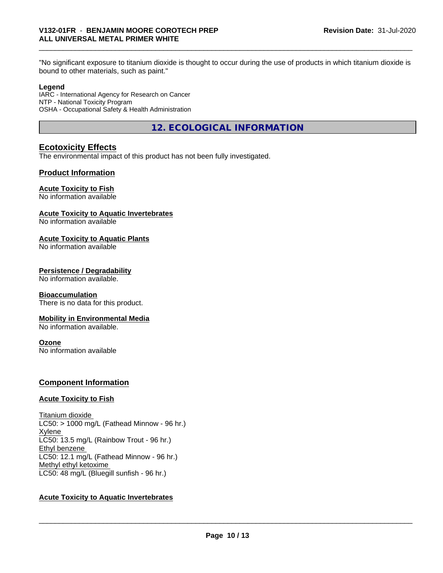"No significant exposure to titanium dioxide is thought to occur during the use of products in which titanium dioxide is bound to other materials, such as paint."

#### **Legend**

IARC - International Agency for Research on Cancer NTP - National Toxicity Program OSHA - Occupational Safety & Health Administration

**12. ECOLOGICAL INFORMATION**

# **Ecotoxicity Effects**

The environmental impact of this product has not been fully investigated.

# **Product Information**

#### **Acute Toxicity to Fish**

No information available

#### **Acute Toxicity to Aquatic Invertebrates**

No information available

#### **Acute Toxicity to Aquatic Plants**

No information available

#### **Persistence / Degradability**

No information available.

#### **Bioaccumulation**

There is no data for this product.

#### **Mobility in Environmental Media**

No information available.

#### **Ozone**

No information available

### **Component Information**

#### **Acute Toxicity to Fish**

Titanium dioxide  $LC50:$  > 1000 mg/L (Fathead Minnow - 96 hr.) Xylene LC50: 13.5 mg/L (Rainbow Trout - 96 hr.) Ethyl benzene LC50: 12.1 mg/L (Fathead Minnow - 96 hr.) Methyl ethyl ketoxime LC50: 48 mg/L (Bluegill sunfish - 96 hr.)

### **Acute Toxicity to Aquatic Invertebrates**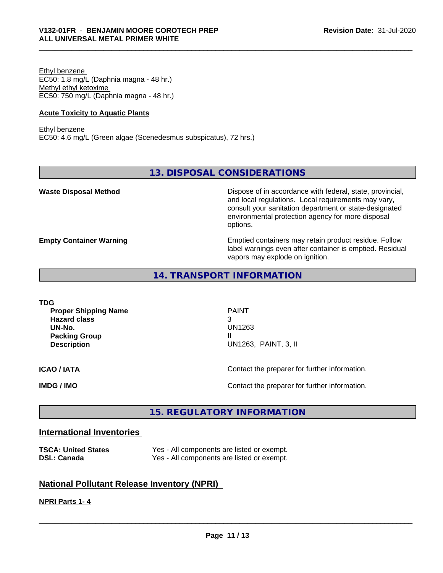Ethyl benzene EC50: 1.8 mg/L (Daphnia magna - 48 hr.) Methyl ethyl ketoxime EC50: 750 mg/L (Daphnia magna - 48 hr.)

#### **Acute Toxicity to Aquatic Plants**

Ethyl benzene EC50: 4.6 mg/L (Green algae (Scenedesmus subspicatus), 72 hrs.)

# **13. DISPOSAL CONSIDERATIONS**

**Waste Disposal Method Dispose of in accordance with federal, state, provincial,** and local regulations. Local requirements may vary, consult your sanitation department or state-designated environmental protection agency for more disposal options.

**Empty Container Warning <b>Emptied** Containers may retain product residue. Follow label warnings even after container is emptied. Residual vapors may explode on ignition.

# **14. TRANSPORT INFORMATION**

**TDG Proper Shipping Name** PAINT **Hazard class** 3 **UN-No.** UN1263 **Packing Group III Description** UN1263, PAINT, 3, II **ICAO / IATA** Contact the preparer for further information. **IMDG / IMO Contact the preparer for further information.** 

**15. REGULATORY INFORMATION**

### **International Inventories**

|                    |  | <b>TSCA: United States</b> |
|--------------------|--|----------------------------|
| <b>DSL: Canada</b> |  |                            |

Yes - All components are listed or exempt. Yes - All components are listed or exempt.

### **National Pollutant Release Inventory (NPRI)**

#### **NPRI Parts 1- 4**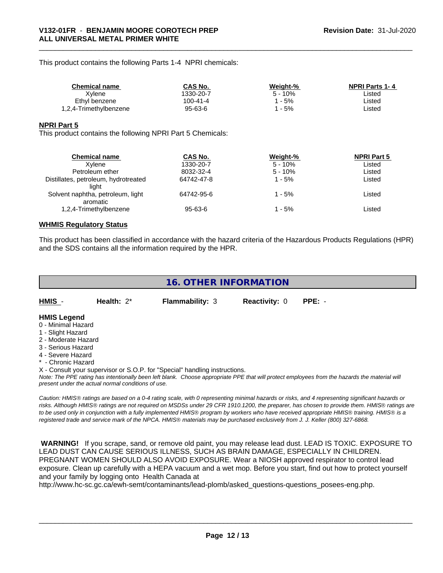This product contains the following Parts 1-4 NPRI chemicals:

| <b>Chemical name</b>   | CAS No.       | Weight-% | <b>NPRI Parts 1-4</b> |  |
|------------------------|---------------|----------|-----------------------|--|
| Xvlene                 | 1330-20-7     | 5 - 10%  | ∟isted                |  |
| Ethyl benzene          | 100-41-4      | $-5%$    | Listed                |  |
| 1,2,4-Trimethylbenzene | $95 - 63 - 6$ | - 5%     | Listed                |  |

#### **NPRI Part 5**

This product contains the following NPRI Part 5 Chemicals:

| <b>Chemical name</b>                 | <b>CAS No.</b> | Weight-%  | <b>NPRI Part 5</b> |  |
|--------------------------------------|----------------|-----------|--------------------|--|
| Xvlene                               | 1330-20-7      | $5 - 10%$ | Listed             |  |
| Petroleum ether                      | 8032-32-4      | $5 - 10%$ | Listed             |  |
| Distillates, petroleum, hydrotreated | 64742-47-8     | 1 - 5%    | Listed             |  |
| liaht                                |                |           |                    |  |
| Solvent naphtha, petroleum, light    | 64742-95-6     | 1 - 5%    | Listed             |  |
| aromatic                             |                |           |                    |  |
| 1,2,4-Trimethylbenzene               | 95-63-6        | 1 - 5%    | Listed             |  |
|                                      |                |           |                    |  |

#### **WHMIS Regulatory Status**

This product has been classified in accordance with the hazard criteria of the Hazardous Products Regulations (HPR) and the SDS contains all the information required by the HPR.

| <b>16. OTHER INFORMATION</b> |  |
|------------------------------|--|
|------------------------------|--|

**HMIS** - **Health:** 2\* **Flammability:** 3 **Reactivity:** 0 **PPE:** -

#### **HMIS Legend**

- 0 Minimal Hazard
- 1 Slight Hazard
- 2 Moderate Hazard
- 3 Serious Hazard
- 4 Severe Hazard
- \* Chronic Hazard
- X Consult your supervisor or S.O.P. for "Special" handling instructions.

*Note: The PPE rating has intentionally been left blank. Choose appropriate PPE that will protect employees from the hazards the material will present under the actual normal conditions of use.*

*Caution: HMISÒ ratings are based on a 0-4 rating scale, with 0 representing minimal hazards or risks, and 4 representing significant hazards or risks. Although HMISÒ ratings are not required on MSDSs under 29 CFR 1910.1200, the preparer, has chosen to provide them. HMISÒ ratings are to be used only in conjunction with a fully implemented HMISÒ program by workers who have received appropriate HMISÒ training. HMISÒ is a registered trade and service mark of the NPCA. HMISÒ materials may be purchased exclusively from J. J. Keller (800) 327-6868.*

 **WARNING!** If you scrape, sand, or remove old paint, you may release lead dust. LEAD IS TOXIC. EXPOSURE TO LEAD DUST CAN CAUSE SERIOUS ILLNESS, SUCH AS BRAIN DAMAGE, ESPECIALLY IN CHILDREN. PREGNANT WOMEN SHOULD ALSO AVOID EXPOSURE.Wear a NIOSH approved respirator to control lead exposure. Clean up carefully with a HEPA vacuum and a wet mop. Before you start, find out how to protect yourself and your family by logging onto Health Canada at

http://www.hc-sc.gc.ca/ewh-semt/contaminants/lead-plomb/asked\_questions-questions\_posees-eng.php.